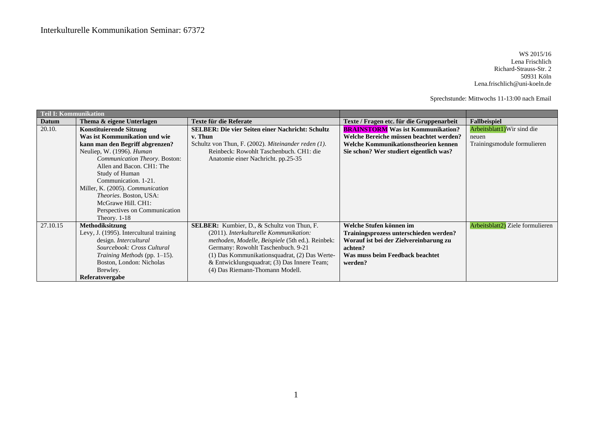WS 2015/16 Lena Frischlich Richard-Strauss-Str. 2 50931 Köln Lena.frischlich@uni-koeln.de

Sprechstunde: Mittwochs 11-13:00 nach Email

| <b>Teil I: Kommunikation</b> |                                         |                                                         |                                           |                                  |
|------------------------------|-----------------------------------------|---------------------------------------------------------|-------------------------------------------|----------------------------------|
| Datum                        | Thema & eigene Unterlagen               | Texte für die Referate                                  | Texte / Fragen etc. für die Gruppenarbeit | <b>Fallbeispiel</b>              |
| 20.10.                       | <b>Konstituierende Sitzung</b>          | <b>SELBER: Die vier Seiten einer Nachricht: Schultz</b> | <b>BRAINSTORM</b> Was ist Kommunikation?  | Arbeitsblatt1) Wir sind die      |
|                              | Was ist Kommunikation und wie           | v. Thun                                                 | Welche Bereiche müssen beachtet werden?   | neuen                            |
|                              | kann man den Begriff abgrenzen?         | Schultz von Thun, F. (2002). Miteinander reden (1).     | Welche Kommunikationstheorien kennen      | Trainingsmodule formulieren      |
|                              | Neuliep, W. (1996). Human               | Reinbeck: Rowohlt Taschenbuch. CH1: die                 | Sie schon? Wer studiert eigentlich was?   |                                  |
|                              | Communication Theory. Boston:           | Anatomie einer Nachricht. pp.25-35                      |                                           |                                  |
|                              | Allen and Bacon. CH1: The               |                                                         |                                           |                                  |
|                              | Study of Human                          |                                                         |                                           |                                  |
|                              | Communication. 1-21.                    |                                                         |                                           |                                  |
|                              | Miller, K. (2005). Communication        |                                                         |                                           |                                  |
|                              | Theories. Boston, USA:                  |                                                         |                                           |                                  |
|                              | McGrawe Hill. CH1:                      |                                                         |                                           |                                  |
|                              | Perspectives on Communication           |                                                         |                                           |                                  |
|                              | Theory. $1-18$                          |                                                         |                                           |                                  |
| 27.10.15                     | Methodiksitzung                         | <b>SELBER:</b> Kumbier, D., & Schultz von Thun, F.      | Welche Stufen können im                   | Arbeitsblatt2) Ziele formulieren |
|                              | Levy, J. (1995). Intercultural training | (2011). Interkulturelle Kommunikation:                  | Trainingsprozess unterschieden werden?    |                                  |
|                              | design. Intercultural                   | methoden, Modelle, Beispiele (5th ed.). Reinbek:        | Worauf ist bei der Zielvereinbarung zu    |                                  |
|                              | Sourcebook: Cross Cultural              | Germany: Rowohlt Taschenbuch. 9-21                      | achten?                                   |                                  |
|                              | Training Methods (pp. 1–15).            | (1) Das Kommunikationsquadrat, (2) Das Werte-           | Was muss beim Feedback beachtet           |                                  |
|                              | Boston, London: Nicholas                | & Entwicklungsquadrat; (3) Das Innere Team;             | werden?                                   |                                  |
|                              | Brewley.                                | (4) Das Riemann-Thomann Modell.                         |                                           |                                  |
|                              | Referatsvergabe                         |                                                         |                                           |                                  |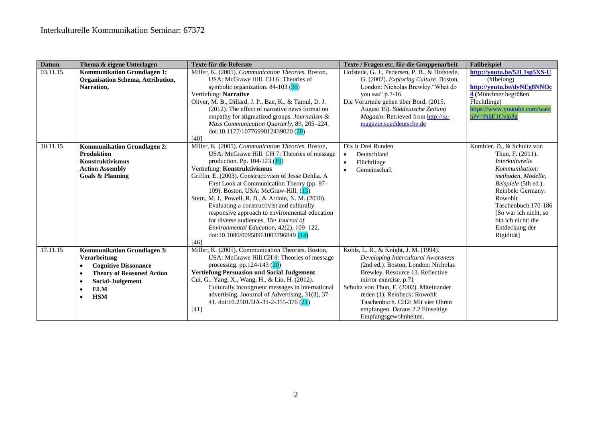| <b>Datum</b> | Thema & eigene Unterlagen                     | Texte für die Referate                                                                                                                                | Texte / Fragen etc. für die Gruppenarbeit                                                                                                                                 | <b>Fallbeispiel</b>          |
|--------------|-----------------------------------------------|-------------------------------------------------------------------------------------------------------------------------------------------------------|---------------------------------------------------------------------------------------------------------------------------------------------------------------------------|------------------------------|
| 03.11.15     | Kommunikation Grundlagen 1:                   | Miller, K. (2005). Communication Theories. Boston,                                                                                                    | Hofstede, G. J., Pedersen, P. B., & Hofstede,                                                                                                                             | http://youtu.be/5JL1sp5XS-U  |
|              | Organisation Schema, Attribution,             | USA: McGrawe Hill. CH 6: Theories of                                                                                                                  | G. (2002). Exploring Culture. Boston,                                                                                                                                     | (Hlelong)                    |
|              | Narration,                                    | symbolic organization. 84-103 (20)                                                                                                                    | London: Nicholas Brewley."What do                                                                                                                                         | http://youtu.be/dvNEg8NNOc   |
|              |                                               | Vertiefung: Narrative                                                                                                                                 | you see" p.7-16                                                                                                                                                           | 4 (Münchner begrüßen         |
|              |                                               | Oliver, M. B., Dillard, J. P., Bae, K., & Tamul, D. J.                                                                                                | Die Vorurteile gehen über Bord. (2015,                                                                                                                                    | Flüchtlinge)                 |
|              |                                               | (2012). The effect of narrative news format on                                                                                                        | August 15). Süddeutsche Zeitung                                                                                                                                           | https://www.youtube.com/watc |
|              |                                               | empathy for stigmatized groups. Journalism &                                                                                                          | Magazin. Retrieved from http://sz-                                                                                                                                        | $h?v = PtkE1Cvlp3g$          |
|              |                                               | Mass Communication Quarterly, 89, 205-224.                                                                                                            | magazin.sueddeutsche.de                                                                                                                                                   |                              |
|              |                                               | doi:10.1177/1077699012439020 (20)                                                                                                                     |                                                                                                                                                                           |                              |
|              |                                               | [40]                                                                                                                                                  |                                                                                                                                                                           |                              |
| 10.11.15     | <b>Kommunikation Grundlagen 2:</b>            | Miller, K. (2005). Communication Theories. Boston,                                                                                                    | Dix It Drei Runden                                                                                                                                                        | Kumbier, D., & Schultz von   |
|              | <b>Produktion</b>                             | USA: McGrawe Hill. CH 7: Theories of message                                                                                                          | Deutschland<br>$\bullet$                                                                                                                                                  | Thun, F. (2011).             |
|              | <b>Konstruktivismus</b>                       | production. Pp. 104-123 (19)                                                                                                                          | Flüchtlinge<br>$\bullet$                                                                                                                                                  | Interkulturelle              |
|              | <b>Action Assembly</b>                        | Vertiefung: Konstruktivismus                                                                                                                          | Gemeinschaft<br>$\bullet$                                                                                                                                                 | Kommunikation:               |
|              | <b>Goals &amp; Planning</b>                   | Griffin, E. (2003). Constructivism of Jesse Dehlia. A                                                                                                 |                                                                                                                                                                           | methoden, Modelle,           |
|              |                                               | First Look at Communication Theory (pp. 97–                                                                                                           |                                                                                                                                                                           | Beispiele (5th ed.).         |
|              |                                               | 109). Boston, USA: McGraw-Hill. (13)                                                                                                                  |                                                                                                                                                                           | Reinbek: Germany:            |
|              |                                               | Stern, M. J., Powell, R. B., & Ardoin, N. M. (2010).                                                                                                  |                                                                                                                                                                           | Rowohlt                      |
|              |                                               | Evaluating a constructivist and culturally                                                                                                            |                                                                                                                                                                           | Taschenbuch.170-186          |
|              |                                               | responsive approach to environmental education                                                                                                        |                                                                                                                                                                           | [So war ich nicht, so        |
|              |                                               | for diverse audiences. The Journal of                                                                                                                 |                                                                                                                                                                           | bin ich nicht: die           |
|              |                                               | Environmental Education, 42(2), 109-122.                                                                                                              |                                                                                                                                                                           | Entdeckung der               |
|              |                                               | doi:10.1080/00958961003796849 (14)                                                                                                                    |                                                                                                                                                                           | Rigidität]                   |
|              |                                               | [46]                                                                                                                                                  |                                                                                                                                                                           |                              |
| 17.11.15     | <b>Kommunikation Grundlagen 3:</b>            | Miller, K. (2005). Communication Theories. Boston,                                                                                                    | Kohls, L. R., & Knight, J. M. (1994).                                                                                                                                     |                              |
|              | Verarbeitung                                  | USA: McGrawe Hill.CH 8: Theories of message                                                                                                           | Developing Intercultural Awareness                                                                                                                                        |                              |
|              | <b>Cognitive Dissonance</b><br>$\bullet$      | processing. pp.124-143 $(20)$                                                                                                                         | (2nd ed.). Boston, London: Nicholas                                                                                                                                       |                              |
|              | <b>Theory of Reasoned Action</b><br>$\bullet$ | <b>Vertiefung Persuasion und Social Judgement</b>                                                                                                     | Brewley. Resource 13. Reflective                                                                                                                                          |                              |
|              | <b>Social-Judgement</b><br>$\bullet$          | Cui, G., Yang, X., Wang, H., & Liu, H. (2012).                                                                                                        | mirror exercise. p.71                                                                                                                                                     |                              |
|              | $\bullet$                                     |                                                                                                                                                       |                                                                                                                                                                           |                              |
|              | $\bullet$                                     |                                                                                                                                                       |                                                                                                                                                                           |                              |
|              |                                               |                                                                                                                                                       |                                                                                                                                                                           |                              |
|              |                                               |                                                                                                                                                       |                                                                                                                                                                           |                              |
|              | <b>ELM</b><br><b>HSM</b>                      | Culturally incongruent messages in international<br>advertising. Joournal of Advertising, 31(3), 37–<br>41. doi:10.2501/IJA-31-2-355-376 (21)<br>[41] | Schultz von Thun, F. (2002). Miteinander<br>reden (1). Reinbeck: Rowohlt<br>Taschenbuch. CH2: Mit vier Ohren<br>empfangen. Daraus 2.2 Einseitige<br>Empfangsgewohnheiten. |                              |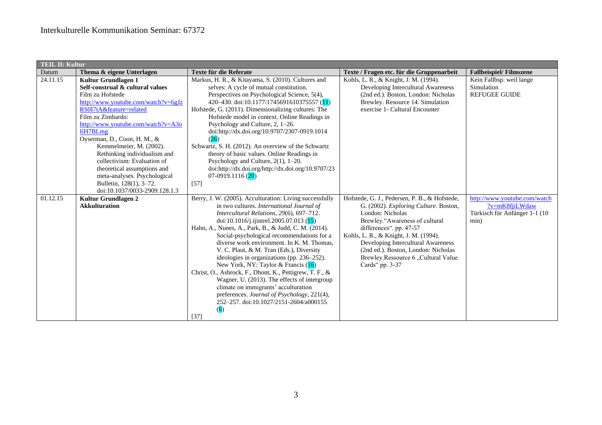| <b>TEIL II: Kultur</b> |                                     |                                                                                       |                                               |                               |
|------------------------|-------------------------------------|---------------------------------------------------------------------------------------|-----------------------------------------------|-------------------------------|
| Datum                  | Thema & eigene Unterlagen           | Texte für die Referate                                                                | Texte / Fragen etc. für die Gruppenarbeit     | <b>Fallbeispiel/Filmszene</b> |
| 24.11.15               | Kultur Grundlagen 1                 | Markus, H. R., & Kitayama, S. (2010). Cultures and                                    | Kohls, L. R., & Knight, J. M. (1994).         | Kein Fallbsp. weil lange      |
|                        | Self-construal & cultural values    | selves: A cycle of mutual constitution.                                               | Developing Intercultural Awareness            | Simulation                    |
|                        | Film zu Hofstede                    | Perspectives on Psychological Science, 5(4),                                          | (2nd ed.). Boston, London: Nicholas           | <b>REFUGEE GUIDE</b>          |
|                        | http://www.youtube.com/watch?v=6gJz | 420-430. doi:10.1177/1745691610375557 (11)                                            | Brewley. Resource 14. Simulation              |                               |
|                        | RS0I7tA&feature=related             | Hofstede, G. (2011). Dimensionalizing cultures: The                                   | exercise 1- Cultural Encounter                |                               |
|                        | Film zu Zimbardo:                   | Hofstede model in context. Online Readings in                                         |                                               |                               |
|                        | http://www.youtube.com/watch?v=A3o  | Psychology and Culture, 2, 1-26.                                                      |                                               |                               |
|                        | <b>IiH7BLmg</b>                     | doi:http://dx.doi.org/10.9707/2307-0919.1014                                          |                                               |                               |
|                        | Oyserman, D., Coon, H. M., &        | (26)                                                                                  |                                               |                               |
|                        | Kemmelmeier, M. (2002).             | Schwartz, S. H. (2012). An overview of the Schwartz                                   |                                               |                               |
|                        | Rethinking individualism and        | theory of basic values. Online Readings in                                            |                                               |                               |
|                        | collectivism: Evaluation of         | Psychology and Culture, $2(1)$ , $1-20$ .                                             |                                               |                               |
|                        | theoretical assumptions and         | doi:http://dx.doi.org/http://dx.doi.org/10.9707/23                                    |                                               |                               |
|                        | meta-analyses. Psychological        | $07-0919.1116(20)$                                                                    |                                               |                               |
|                        | Bulletin, 128(1), 3-72.             | $[57]$                                                                                |                                               |                               |
|                        | doi:10.1037/0033-2909.128.1.3       |                                                                                       |                                               |                               |
| 01.12.15               | Kultur Grundlagen 2                 | Berry, J. W. (2005). Acculturation: Living successfully                               | Hofstede, G. J., Pedersen, P. B., & Hofstede, | http://www.youtube.com/watch  |
|                        | <b>Akkulturation</b>                | in two cultures. International Journal of                                             | G. (2002). Exploring Culture. Boston,         | ?v=mK8fjiLWdaw                |
|                        |                                     | Intercultural Relations, 29(6), 697-712.                                              | London: Nicholas                              | Türkisch für Anfänger 1-1 (10 |
|                        |                                     | doi:10.1016/j.ijintrel.2005.07.013 (15)                                               | Brewley."Awareness of cultural                | min)                          |
|                        |                                     | Hahn, A., Nunes, A., Park, B., & Judd, C. M. (2014).                                  | differences". pp. 47-57                       |                               |
|                        |                                     | Social-psychological recommendations for a                                            | Kohls, L. R., & Knight, J. M. (1994).         |                               |
|                        |                                     | diverse work environment. In K. M. Thomas,                                            | Developing Intercultural Awareness            |                               |
|                        |                                     | V. C. Plaut, & M. Tran (Eds.), Diversity                                              | (2nd ed.). Boston, London: Nicholas           |                               |
|                        |                                     | ideologies in organizations (pp. 236–252).                                            | Brewley.Ressource 6 "Cultural Value           |                               |
|                        |                                     | New York, NY: Taylor & Francis (16)                                                   | Cards" pp. 3-37                               |                               |
|                        |                                     | Christ, O., Asbrock, F., Dhont, K., Pettigrew, T. F., &                               |                                               |                               |
|                        |                                     | Wagner, U. (2013). The effects of intergroup                                          |                                               |                               |
|                        |                                     | climate on immigrants' acculturation                                                  |                                               |                               |
|                        |                                     | preferences. Journal of Psychology, 221(4),<br>252-257. doi:10.1027/2151-2604/a000155 |                                               |                               |
|                        |                                     | (6)                                                                                   |                                               |                               |
|                        |                                     |                                                                                       |                                               |                               |
|                        |                                     | [37]                                                                                  |                                               |                               |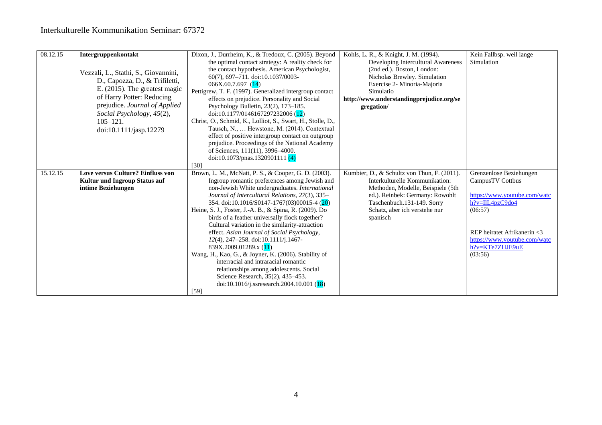| 08.12.15 | Intergruppenkontakt<br>Vezzali, L., Stathi, S., Giovannini,<br>D., Capozza, D., & Trifiletti,<br>E. $(2015)$ . The greatest magic<br>of Harry Potter: Reducing<br>prejudice. Journal of Applied<br>Social Psychology, 45(2),<br>$105 - 121$ .<br>doi:10.1111/jasp.12279 | Dixon, J., Durrheim, K., & Tredoux, C. (2005). Beyond<br>the optimal contact strategy: A reality check for<br>the contact hypothesis. American Psychologist,<br>60(7), 697-711. doi:10.1037/0003-<br>066X.60.7.697(14)<br>Pettigrew, T. F. (1997). Generalized intergroup contact<br>effects on prejudice. Personality and Social<br>Psychology Bulletin, 23(2), 173-185.<br>doi:10.1177/0146167297232006 (12)<br>Christ, O., Schmid, K., Lolliot, S., Swart, H., Stolle, D.,<br>Tausch, N.,  Hewstone, M. (2014). Contextual<br>effect of positive intergroup contact on outgroup<br>prejudice. Proceedings of the National Academy<br>of Sciences, 111(11), 3996-4000.<br>doi:10.1073/pnas.1320901111 $(4)$                                                                    | Kohls, L. R., & Knight, J. M. (1994).<br>Developing Intercultural Awareness<br>(2nd ed.). Boston, London:<br>Nicholas Brewley. Simulation<br>Exercise 2- Minoria-Majoria<br>Simulatio<br>http://www.understandingprejudice.org/se<br>gregation/ | Kein Fallbsp. weil lange<br>Simulation                                                                                                                                                                 |
|----------|-------------------------------------------------------------------------------------------------------------------------------------------------------------------------------------------------------------------------------------------------------------------------|----------------------------------------------------------------------------------------------------------------------------------------------------------------------------------------------------------------------------------------------------------------------------------------------------------------------------------------------------------------------------------------------------------------------------------------------------------------------------------------------------------------------------------------------------------------------------------------------------------------------------------------------------------------------------------------------------------------------------------------------------------------------------------|-------------------------------------------------------------------------------------------------------------------------------------------------------------------------------------------------------------------------------------------------|--------------------------------------------------------------------------------------------------------------------------------------------------------------------------------------------------------|
|          |                                                                                                                                                                                                                                                                         | [30]                                                                                                                                                                                                                                                                                                                                                                                                                                                                                                                                                                                                                                                                                                                                                                             |                                                                                                                                                                                                                                                 |                                                                                                                                                                                                        |
| 15.12.15 | Love versus Culture? Einfluss von<br>Kultur und Ingroup Status auf<br>intime Beziehungen                                                                                                                                                                                | Brown, L. M., McNatt, P. S., & Cooper, G. D. (2003).<br>Ingroup romantic preferences among Jewish and<br>non-Jewish White undergraduates. International<br>Journal of Intercultural Relations, 27(3), 335-<br>354. doi:10.1016/S0147-1767(03)00015-4 (20)<br>Heine, S. J., Foster, J.-A. B., & Spina, R. (2009). Do<br>birds of a feather universally flock together?<br>Cultural variation in the similarity-attraction<br>effect. Asian Journal of Social Psychology,<br>$12(4)$ , 247-258. doi:10.1111/j.1467-<br>839X.2009.01289.x (11)<br>Wang, H., Kao, G., & Joyner, K. (2006). Stability of<br>interracial and intraracial romantic<br>relationships among adolescents. Social<br>Science Research, 35(2), 435–453.<br>doi:10.1016/j.ssresearch.2004.10.001 (18)<br>[59] | Kumbier, D., & Schultz von Thun, F. (2011).<br>Interkulturelle Kommunikation:<br>Methoden, Modelle, Beispiele (5th<br>ed.). Reinbek: Germany: Rowohlt<br>Taschenbuch.131-149. Sorry<br>Schatz, aber ich verstehe nur<br>spanisch                | Grenzenlose Beziehungen<br>CampusTV Cottbus<br>https://www.youtube.com/watc<br>h?v=IlL4pzC9do4<br>(06:57)<br>REP heiratet Afrikanerin <3<br>https://www.youtube.com/watc<br>h?v=KTe7ZHJE9uE<br>(03:56) |